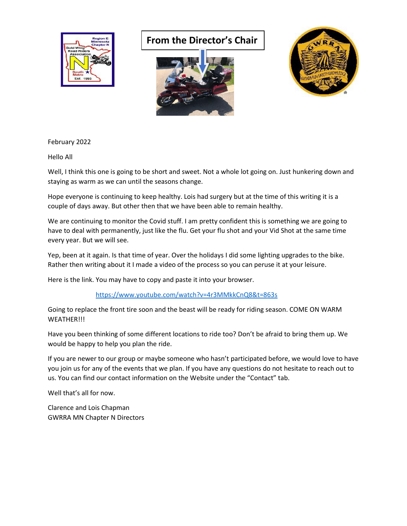

## **From the Director's Chair**





February 2022

Hello All

Well, I think this one is going to be short and sweet. Not a whole lot going on. Just hunkering down and staying as warm as we can until the seasons change.

Hope everyone is continuing to keep healthy. Lois had surgery but at the time of this writing it is a couple of days away. But other then that we have been able to remain healthy.

We are continuing to monitor the Covid stuff. I am pretty confident this is something we are going to have to deal with permanently, just like the flu. Get your flu shot and your Vid Shot at the same time every year. But we will see.

Yep, been at it again. Is that time of year. Over the holidays I did some lighting upgrades to the bike. Rather then writing about it I made a video of the process so you can peruse it at your leisure.

Here is the link. You may have to copy and paste it into your browser.

## <https://www.youtube.com/watch?v=4r3MMkkCnQ8&t=863s>

Going to replace the front tire soon and the beast will be ready for riding season. COME ON WARM WEATHER!!!

Have you been thinking of some different locations to ride too? Don't be afraid to bring them up. We would be happy to help you plan the ride.

If you are newer to our group or maybe someone who hasn't participated before, we would love to have you join us for any of the events that we plan. If you have any questions do not hesitate to reach out to us. You can find our contact information on the Website under the "Contact" tab.

Well that's all for now.

Clarence and Lois Chapman GWRRA MN Chapter N Directors